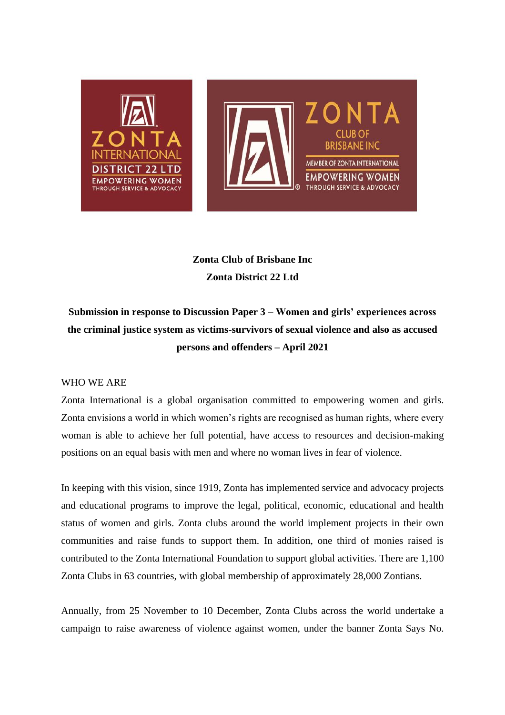

# **Zonta Club of Brisbane Inc Zonta District 22 Ltd**

**Submission in response to Discussion Paper 3 – Women and girls' experiences across the criminal justice system as victims-survivors of sexual violence and also as accused persons and offenders – April 2021**

# WHO WE ARE

Zonta International is a global organisation committed to empowering women and girls. Zonta envisions a world in which women's rights are recognised as human rights, where every woman is able to achieve her full potential, have access to resources and decision-making positions on an equal basis with men and where no woman lives in fear of violence.

In keeping with this vision, since 1919, Zonta has implemented service and advocacy projects and educational programs to improve the legal, political, economic, educational and health status of women and girls. Zonta clubs around the world implement projects in their own communities and raise funds to support them. In addition, one third of monies raised is contributed to the Zonta International Foundation to support global activities. There are 1,100 Zonta Clubs in 63 countries, with global membership of approximately 28,000 Zontians.

Annually, from 25 November to 10 December, Zonta Clubs across the world undertake a campaign to raise awareness of violence against women, under the banner Zonta Says No.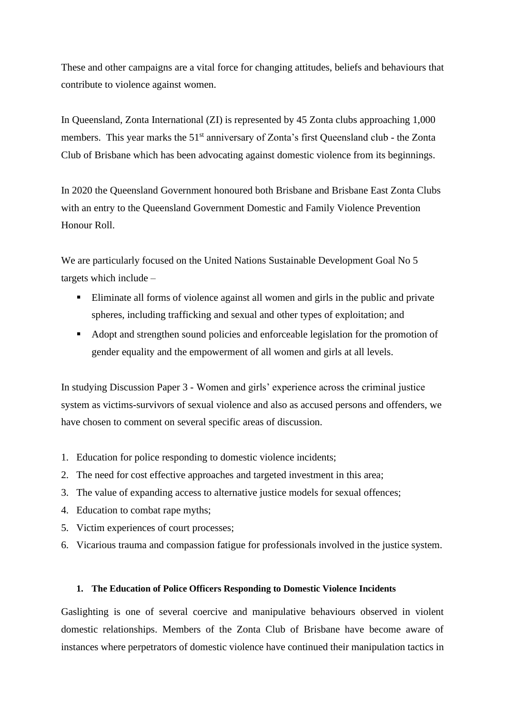These and other campaigns are a vital force for changing attitudes, beliefs and behaviours that contribute to violence against women.

In Queensland, Zonta International (ZI) is represented by 45 Zonta clubs approaching 1,000 members. This year marks the 51<sup>st</sup> anniversary of Zonta's first Queensland club - the Zonta Club of Brisbane which has been advocating against domestic violence from its beginnings.

In 2020 the Queensland Government honoured both Brisbane and Brisbane East Zonta Clubs with an entry to the Queensland Government Domestic and Family Violence Prevention Honour Roll.

We are particularly focused on the United Nations Sustainable Development Goal No 5 targets which include –

- Eliminate all forms of violence against all women and girls in the public and private spheres, including trafficking and sexual and other types of exploitation; and
- Adopt and strengthen sound policies and enforceable legislation for the promotion of gender equality and the empowerment of all women and girls at all levels.

In studying Discussion Paper 3 - Women and girls' experience across the criminal justice system as victims-survivors of sexual violence and also as accused persons and offenders, we have chosen to comment on several specific areas of discussion.

- 1. Education for police responding to domestic violence incidents;
- 2. The need for cost effective approaches and targeted investment in this area;
- 3. The value of expanding access to alternative justice models for sexual offences;
- 4. Education to combat rape myths;
- 5. Victim experiences of court processes;
- 6. Vicarious trauma and compassion fatigue for professionals involved in the justice system.

### **1. The Education of Police Officers Responding to Domestic Violence Incidents**

Gaslighting is one of several coercive and manipulative behaviours observed in violent domestic relationships. Members of the Zonta Club of Brisbane have become aware of instances where perpetrators of domestic violence have continued their manipulation tactics in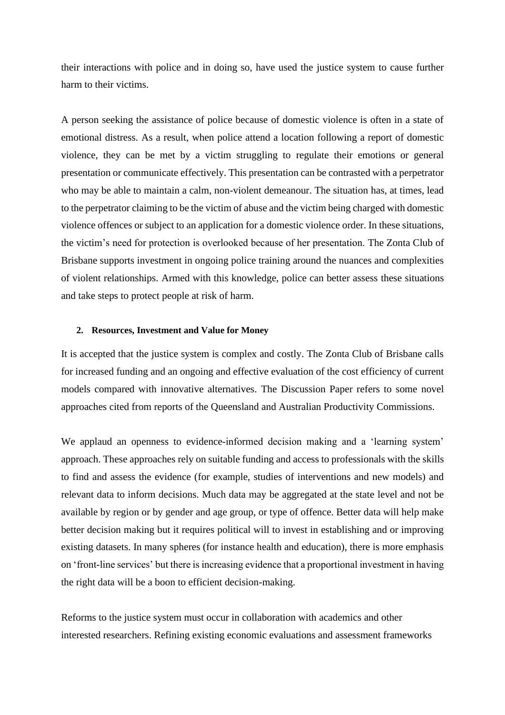their interactions with police and in doing so, have used the justice system to cause further harm to their victims.

A person seeking the assistance of police because of domestic violence is often in a state of emotional distress. As a result, when police attend a location following a report of domestic violence, they can be met by a victim struggling to regulate their emotions or general presentation or communicate effectively. This presentation can be contrasted with a perpetrator who may be able to maintain a calm, non-violent demeanour. The situation has, at times, lead to the perpetrator claiming to be the victim of abuse and the victim being charged with domestic violence offences or subject to an application for a domestic violence order. In these situations, the victim's need for protection is overlooked because of her presentation. The Zonta Club of Brisbane supports investment in ongoing police training around the nuances and complexities of violent relationships. Armed with this knowledge, police can better assess these situations and take steps to protect people at risk of harm.

# **2. Resources, Investment and Value for Money**

It is accepted that the justice system is complex and costly. The Zonta Club of Brisbane calls for increased funding and an ongoing and effective evaluation of the cost efficiency of current models compared with innovative alternatives. The Discussion Paper refers to some novel approaches cited from reports of the Queensland and Australian Productivity Commissions.

We applaud an openness to evidence-informed decision making and a 'learning system' approach. These approaches rely on suitable funding and access to professionals with the skills to find and assess the evidence (for example, studies of interventions and new models) and relevant data to inform decisions. Much data may be aggregated at the state level and not be available by region or by gender and age group, or type of offence. Better data will help make better decision making but it requires political will to invest in establishing and or improving existing datasets. In many spheres (for instance health and education), there is more emphasis on 'front-line services' but there is increasing evidence that a proportional investment in having the right data will be a boon to efficient decision-making.

Reforms to the justice system must occur in collaboration with academics and other interested researchers. Refining existing economic evaluations and assessment frameworks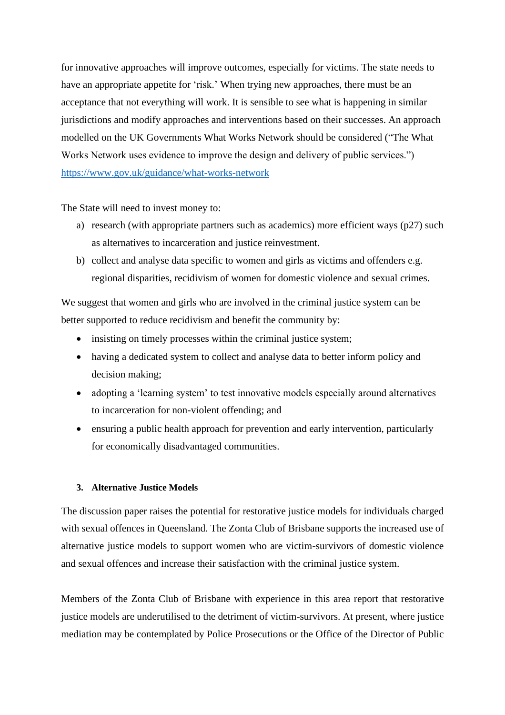for innovative approaches will improve outcomes, especially for victims. The state needs to have an appropriate appetite for 'risk.' When trying new approaches, there must be an acceptance that not everything will work. It is sensible to see what is happening in similar jurisdictions and modify approaches and interventions based on their successes. An approach modelled on the UK Governments What Works Network should be considered ("The What Works Network uses evidence to improve the design and delivery of public services.") <https://www.gov.uk/guidance/what-works-network>

The State will need to invest money to:

- a) research (with appropriate partners such as academics) more efficient ways (p27) such as alternatives to incarceration and justice reinvestment.
- b) collect and analyse data specific to women and girls as victims and offenders e.g. regional disparities, recidivism of women for domestic violence and sexual crimes.

We suggest that women and girls who are involved in the criminal justice system can be better supported to reduce recidivism and benefit the community by:

- insisting on timely processes within the criminal justice system;
- having a dedicated system to collect and analyse data to better inform policy and decision making;
- adopting a 'learning system' to test innovative models especially around alternatives to incarceration for non-violent offending; and
- ensuring a public health approach for prevention and early intervention, particularly for economically disadvantaged communities.

# **3. Alternative Justice Models**

The discussion paper raises the potential for restorative justice models for individuals charged with sexual offences in Queensland. The Zonta Club of Brisbane supports the increased use of alternative justice models to support women who are victim-survivors of domestic violence and sexual offences and increase their satisfaction with the criminal justice system.

Members of the Zonta Club of Brisbane with experience in this area report that restorative justice models are underutilised to the detriment of victim-survivors. At present, where justice mediation may be contemplated by Police Prosecutions or the Office of the Director of Public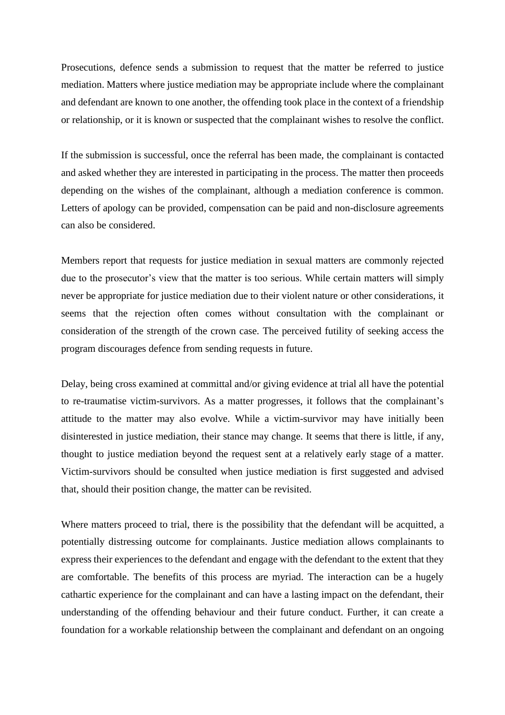Prosecutions, defence sends a submission to request that the matter be referred to justice mediation. Matters where justice mediation may be appropriate include where the complainant and defendant are known to one another, the offending took place in the context of a friendship or relationship, or it is known or suspected that the complainant wishes to resolve the conflict.

If the submission is successful, once the referral has been made, the complainant is contacted and asked whether they are interested in participating in the process. The matter then proceeds depending on the wishes of the complainant, although a mediation conference is common. Letters of apology can be provided, compensation can be paid and non-disclosure agreements can also be considered.

Members report that requests for justice mediation in sexual matters are commonly rejected due to the prosecutor's view that the matter is too serious. While certain matters will simply never be appropriate for justice mediation due to their violent nature or other considerations, it seems that the rejection often comes without consultation with the complainant or consideration of the strength of the crown case. The perceived futility of seeking access the program discourages defence from sending requests in future.

Delay, being cross examined at committal and/or giving evidence at trial all have the potential to re-traumatise victim-survivors. As a matter progresses, it follows that the complainant's attitude to the matter may also evolve. While a victim-survivor may have initially been disinterested in justice mediation, their stance may change. It seems that there is little, if any, thought to justice mediation beyond the request sent at a relatively early stage of a matter. Victim-survivors should be consulted when justice mediation is first suggested and advised that, should their position change, the matter can be revisited.

Where matters proceed to trial, there is the possibility that the defendant will be acquitted, a potentially distressing outcome for complainants. Justice mediation allows complainants to express their experiences to the defendant and engage with the defendant to the extent that they are comfortable. The benefits of this process are myriad. The interaction can be a hugely cathartic experience for the complainant and can have a lasting impact on the defendant, their understanding of the offending behaviour and their future conduct. Further, it can create a foundation for a workable relationship between the complainant and defendant on an ongoing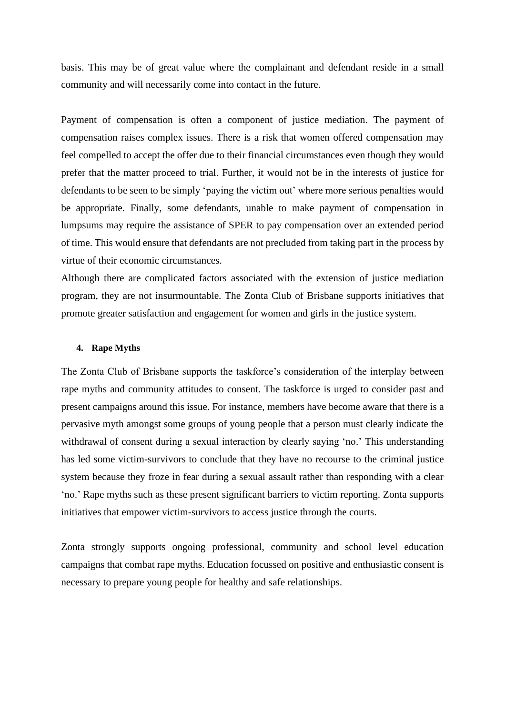basis. This may be of great value where the complainant and defendant reside in a small community and will necessarily come into contact in the future.

Payment of compensation is often a component of justice mediation. The payment of compensation raises complex issues. There is a risk that women offered compensation may feel compelled to accept the offer due to their financial circumstances even though they would prefer that the matter proceed to trial. Further, it would not be in the interests of justice for defendants to be seen to be simply 'paying the victim out' where more serious penalties would be appropriate. Finally, some defendants, unable to make payment of compensation in lumpsums may require the assistance of SPER to pay compensation over an extended period of time. This would ensure that defendants are not precluded from taking part in the process by virtue of their economic circumstances.

Although there are complicated factors associated with the extension of justice mediation program, they are not insurmountable. The Zonta Club of Brisbane supports initiatives that promote greater satisfaction and engagement for women and girls in the justice system.

### **4. Rape Myths**

The Zonta Club of Brisbane supports the taskforce's consideration of the interplay between rape myths and community attitudes to consent. The taskforce is urged to consider past and present campaigns around this issue. For instance, members have become aware that there is a pervasive myth amongst some groups of young people that a person must clearly indicate the withdrawal of consent during a sexual interaction by clearly saying 'no.' This understanding has led some victim-survivors to conclude that they have no recourse to the criminal justice system because they froze in fear during a sexual assault rather than responding with a clear 'no.' Rape myths such as these present significant barriers to victim reporting. Zonta supports initiatives that empower victim-survivors to access justice through the courts.

Zonta strongly supports ongoing professional, community and school level education campaigns that combat rape myths. Education focussed on positive and enthusiastic consent is necessary to prepare young people for healthy and safe relationships.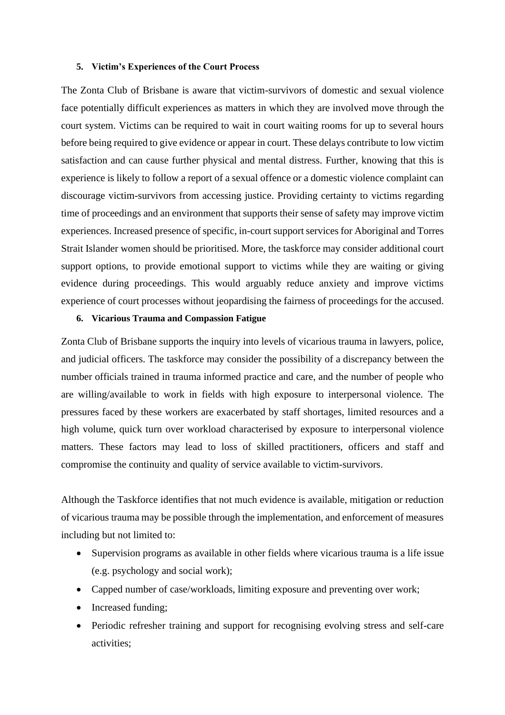#### **5. Victim's Experiences of the Court Process**

The Zonta Club of Brisbane is aware that victim-survivors of domestic and sexual violence face potentially difficult experiences as matters in which they are involved move through the court system. Victims can be required to wait in court waiting rooms for up to several hours before being required to give evidence or appear in court. These delays contribute to low victim satisfaction and can cause further physical and mental distress. Further, knowing that this is experience is likely to follow a report of a sexual offence or a domestic violence complaint can discourage victim-survivors from accessing justice. Providing certainty to victims regarding time of proceedings and an environment that supports their sense of safety may improve victim experiences. Increased presence of specific, in-court support services for Aboriginal and Torres Strait Islander women should be prioritised. More, the taskforce may consider additional court support options, to provide emotional support to victims while they are waiting or giving evidence during proceedings. This would arguably reduce anxiety and improve victims experience of court processes without jeopardising the fairness of proceedings for the accused.

# **6. Vicarious Trauma and Compassion Fatigue**

Zonta Club of Brisbane supports the inquiry into levels of vicarious trauma in lawyers, police, and judicial officers. The taskforce may consider the possibility of a discrepancy between the number officials trained in trauma informed practice and care, and the number of people who are willing/available to work in fields with high exposure to interpersonal violence. The pressures faced by these workers are exacerbated by staff shortages, limited resources and a high volume, quick turn over workload characterised by exposure to interpersonal violence matters. These factors may lead to loss of skilled practitioners, officers and staff and compromise the continuity and quality of service available to victim-survivors.

Although the Taskforce identifies that not much evidence is available, mitigation or reduction of vicarious trauma may be possible through the implementation, and enforcement of measures including but not limited to:

- Supervision programs as available in other fields where vicarious trauma is a life issue (e.g. psychology and social work);
- Capped number of case/workloads, limiting exposure and preventing over work;
- Increased funding;
- Periodic refresher training and support for recognising evolving stress and self-care activities;